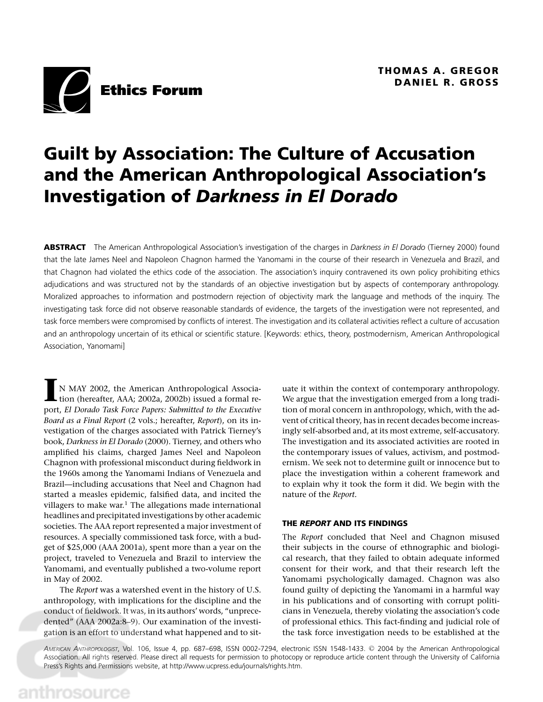

# **Guilt by Association: The Culture of Accusation and the American Anthropological Association's Investigation of** *Darkness in El Dorado*

**ABSTRACT** The American Anthropological Association's investigation of the charges in *Darkness in El Dorado* (Tierney 2000) found that the late James Neel and Napoleon Chagnon harmed the Yanomami in the course of their research in Venezuela and Brazil, and that Chagnon had violated the ethics code of the association. The association's inquiry contravened its own policy prohibiting ethics adjudications and was structured not by the standards of an objective investigation but by aspects of contemporary anthropology. Moralized approaches to information and postmodern rejection of objectivity mark the language and methods of the inquiry. The investigating task force did not observe reasonable standards of evidence, the targets of the investigation were not represented, and task force members were compromised by conflicts of interest. The investigation and its collateral activities reflect a culture of accusation and an anthropology uncertain of its ethical or scientific stature. [Keywords: ethics, theory, postmodernism, American Anthropological Association, Yanomami]

**I**N MAY 2002, the American Anthropological Association (hereafter, AAA; 2002a, 2002b) issued a formal report, *El Dorado Task Force Papers: Submitted to the Executive Board as a Final Report* (2 vols.; hereafter, *Report*), on its investigation of the charges associated with Patrick Tierney's book, *Darkness in El Dorado* (2000). Tierney, and others who amplified his claims, charged James Neel and Napoleon Chagnon with professional misconduct during fieldwork in the 1960s among the Yanomami Indians of Venezuela and Brazil—including accusations that Neel and Chagnon had started a measles epidemic, falsified data, and incited the villagers to make war.<sup>1</sup> The allegations made international headlines and precipitated investigations by other academic societies. The AAA report represented a major investment of resources. A specially commissioned task force, with a budget of \$25,000 (AAA 2001a), spent more than a year on the project, traveled to Venezuela and Brazil to interview the Yanomami, and eventually published a two-volume report in May of 2002.

The *Report* was a watershed event in the history of U.S. anthropology, with implications for the discipline and the conduct of fieldwork. It was, in its authors' words, "unprecedented" (AAA 2002a:8–9). Our examination of the investigation is an effort to understand what happened and to situate it within the context of contemporary anthropology. We argue that the investigation emerged from a long tradition of moral concern in anthropology, which, with the advent of critical theory, has in recent decades become increasingly self-absorbed and, at its most extreme, self-accusatory. The investigation and its associated activities are rooted in the contemporary issues of values, activism, and postmodernism. We seek not to determine guilt or innocence but to place the investigation within a coherent framework and to explain why it took the form it did. We begin with the nature of the *Report.*

#### **THE** *REPORT* **AND ITS FINDINGS**

The *Report* concluded that Neel and Chagnon misused their subjects in the course of ethnographic and biological research, that they failed to obtain adequate informed consent for their work, and that their research left the Yanomami psychologically damaged. Chagnon was also found guilty of depicting the Yanomami in a harmful way in his publications and of consorting with corrupt politicians in Venezuela, thereby violating the association's code of professional ethics. This fact-finding and judicial role of the task force investigation needs to be established at the

*AMERICAN ANTHROPOLOGIST*, Vol. 106, Issue 4, pp. 687–698, ISSN 0002-7294, electronic ISSN 1548-1433. <sup>C</sup> 2004 by the American Anthropological Association. All rights reserved. Please direct all requests for permission to photocopy or reproduce article content through the University of California Press's Rights and Permissions website, at http://www.ucpress.edu/journals/rights.htm.

anthrosource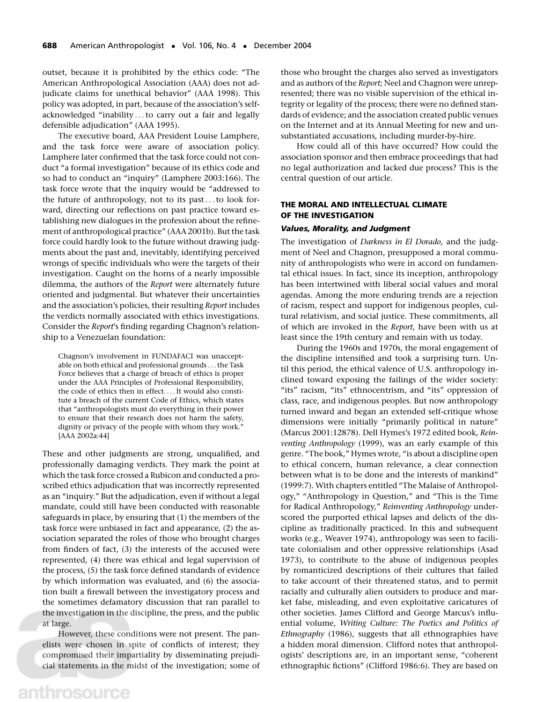outset, because it is prohibited by the ethics code: "The American Anthropological Association (AAA) does not adjudicate claims for unethical behavior" (AAA 1998). This policy was adopted, in part, because of the association's selfacknowledged "inability ...to carry out a fair and legally defensible adjudication" (AAA 1995).

The executive board, AAA President Louise Lamphere, and the task force were aware of association policy. Lamphere later confirmed that the task force could not conduct "a formal investigation" because of its ethics code and so had to conduct an "inquiry" (Lamphere 2003:166). The task force wrote that the inquiry would be "addressed to the future of anthropology, not to its past...to look forward, directing our reflections on past practice toward establishing new dialogues in the profession about the refinement of anthropological practice" (AAA 2001b). But the task force could hardly look to the future without drawing judgments about the past and, inevitably, identifying perceived wrongs of specific individuals who were the targets of their investigation. Caught on the horns of a nearly impossible dilemma, the authors of the *Report* were alternately future oriented and judgmental. But whatever their uncertainties and the association's policies, their resulting *Report* includes the verdicts normally associated with ethics investigations. Consider the *Report*'s finding regarding Chagnon's relationship to a Venezuelan foundation:

Chagnon's involvement in FUNDAFACI was unacceptable on both ethical and professional grounds ...the Task Force believes that a charge of breach of ethics is proper under the AAA Principles of Professional Responsibility, the code of ethics then in effect....It would also constitute a breach of the current Code of Ethics, which states that "anthropologists must do everything in their power to ensure that their research does not harm the safety, dignity or privacy of the people with whom they work." [AAA 2002a:44]

These and other judgments are strong, unqualified, and professionally damaging verdicts. They mark the point at which the task force crossed a Rubicon and conducted a proscribed ethics adjudication that was incorrectly represented as an "inquiry." But the adjudication, even if without a legal mandate, could still have been conducted with reasonable safeguards in place, by ensuring that (1) the members of the task force were unbiased in fact and appearance, (2) the association separated the roles of those who brought charges from finders of fact, (3) the interests of the accused were represented, (4) there was ethical and legal supervision of the process, (5) the task force defined standards of evidence by which information was evaluated, and (6) the association built a firewall between the investigatory process and the sometimes defamatory discussion that ran parallel to the investigation in the discipline, the press, and the public at large.

However, these conditions were not present. The panelists were chosen in spite of conflicts of interest; they compromised their impartiality by disseminating prejudicial statements in the midst of the investigation; some of those who brought the charges also served as investigators and as authors of the *Report*; Neel and Chagnon were unrepresented; there was no visible supervision of the ethical integrity or legality of the process; there were no defined standards of evidence; and the association created public venues on the Internet and at its Annual Meeting for new and unsubstantiated accusations, including murder-by-hire.

How could all of this have occurred? How could the association sponsor and then embrace proceedings that had no legal authorization and lacked due process? This is the central question of our article.

#### **THE MORAL AND INTELLECTUAL CLIMATE OF THE INVESTIGATION**

#### *Values, Morality, and Judgment*

The investigation of *Darkness in El Dorado,* and the judgment of Neel and Chagnon, presupposed a moral community of anthropologists who were in accord on fundamental ethical issues. In fact, since its inception, anthropology has been intertwined with liberal social values and moral agendas. Among the more enduring trends are a rejection of racism, respect and support for indigenous peoples, cultural relativism, and social justice. These commitments, all of which are invoked in the *Report,* have been with us at least since the 19th century and remain with us today.

During the 1960s and 1970s, the moral engagement of the discipline intensified and took a surprising turn. Until this period, the ethical valence of U.S. anthropology inclined toward exposing the failings of the wider society: "its" racism, "its" ethnocentrism, and "its" oppression of class, race, and indigenous peoples. But now anthropology turned inward and began an extended self-critique whose dimensions were initially "primarily political in nature" (Marcus 2001:12878). Dell Hymes's 1972 edited book, *Reinventing Anthropology* (1999), was an early example of this genre. "The book," Hymes wrote, "is about a discipline open to ethical concern, human relevance, a clear connection between what is to be done and the interests of mankind" (1999:7). With chapters entitled "The Malaise of Anthropology," "Anthropology in Question," and "This is the Time for Radical Anthropology," *Reinventing Anthropology* underscored the purported ethical lapses and delicts of the discipline as traditionally practiced. In this and subsequent works (e.g., Weaver 1974), anthropology was seen to facilitate colonialism and other oppressive relationships (Asad 1973), to contribute to the abuse of indigenous peoples by romanticized descriptions of their cultures that failed to take account of their threatened status, and to permit racially and culturally alien outsiders to produce and market false, misleading, and even exploitative caricatures of other societies. James Clifford and George Marcus's influential volume, *Writing Culture: The Poetics and Politics of Ethnography* (1986), suggests that all ethnographies have a hidden moral dimension. Clifford notes that anthropologists' descriptions are, in an important sense, "coherent ethnographic fictions" (Clifford 1986:6). They are based on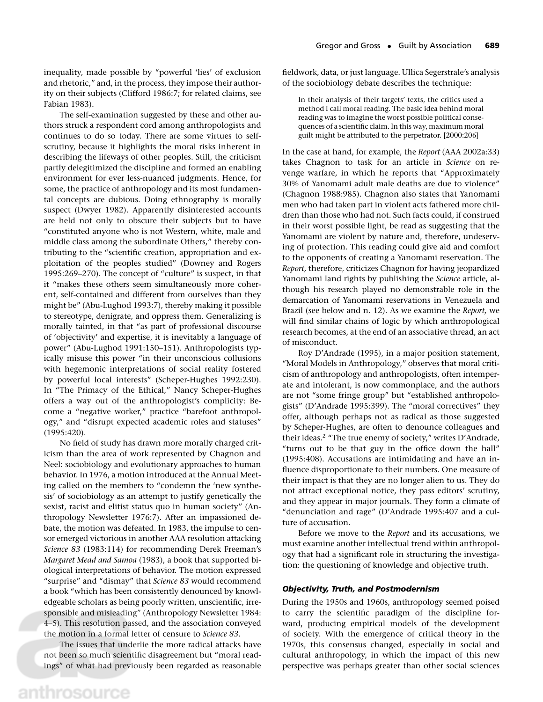inequality, made possible by "powerful 'lies' of exclusion and rhetoric," and, in the process, they impose their authority on their subjects (Clifford 1986:7; for related claims, see Fabian 1983).

The self-examination suggested by these and other authors struck a respondent cord among anthropologists and continues to do so today. There are some virtues to selfscrutiny, because it highlights the moral risks inherent in describing the lifeways of other peoples. Still, the criticism partly delegitimized the discipline and formed an enabling environment for ever less-nuanced judgments. Hence, for some, the practice of anthropology and its most fundamental concepts are dubious. Doing ethnography is morally suspect (Dwyer 1982). Apparently disinterested accounts are held not only to obscure their subjects but to have "constituted anyone who is not Western, white, male and middle class among the subordinate Others," thereby contributing to the "scientific creation, appropriation and exploitation of the peoples studied" (Downey and Rogers 1995:269–270). The concept of "culture" is suspect, in that it "makes these others seem simultaneously more coherent, self-contained and different from ourselves than they might be" (Abu-Lughod 1993:7), thereby making it possible to stereotype, denigrate, and oppress them. Generalizing is morally tainted, in that "as part of professional discourse of 'objectivity' and expertise, it is inevitably a language of power" (Abu-Lughod 1991:150–151). Anthropologists typically misuse this power "in their unconscious collusions with hegemonic interpretations of social reality fostered by powerful local interests" (Scheper-Hughes 1992:230). In "The Primacy of the Ethical," Nancy Scheper-Hughes offers a way out of the anthropologist's complicity: Become a "negative worker," practice "barefoot anthropology," and "disrupt expected academic roles and statuses" (1995:420).

No field of study has drawn more morally charged criticism than the area of work represented by Chagnon and Neel: sociobiology and evolutionary approaches to human behavior. In 1976, a motion introduced at the Annual Meeting called on the members to "condemn the 'new synthesis' of sociobiology as an attempt to justify genetically the sexist, racist and elitist status quo in human society" (Anthropology Newsletter 1976:7). After an impassioned debate, the motion was defeated. In 1983, the impulse to censor emerged victorious in another AAA resolution attacking *Science 83* (1983:114) for recommending Derek Freeman's *Margaret Mead and Samoa* (1983), a book that supported biological interpretations of behavior. The motion expressed "surprise" and "dismay" that *Science 83* would recommend a book "which has been consistently denounced by knowledgeable scholars as being poorly written, unscientific, irresponsible and misleading" (Anthropology Newsletter 1984: 4–5). This resolution passed, and the association conveyed the motion in a formal letter of censure to *Science 83.*

The issues that underlie the more radical attacks have not been so much scientific disagreement but "moral readings" of what had previously been regarded as reasonable fieldwork, data, or just language. Ullica Segerstrale's analysis of the sociobiology debate describes the technique:

In their analysis of their targets' texts, the critics used a method I call moral reading. The basic idea behind moral reading was to imagine the worst possible political consequences of a scientific claim. In this way, maximum moral guilt might be attributed to the perpetrator. [2000:206]

In the case at hand, for example, the *Report* (AAA 2002a:33) takes Chagnon to task for an article in *Science* on revenge warfare, in which he reports that "Approximately 30% of Yanomami adult male deaths are due to violence" (Chagnon 1988:985). Chagnon also states that Yanomami men who had taken part in violent acts fathered more children than those who had not. Such facts could, if construed in their worst possible light, be read as suggesting that the Yanomami are violent by nature and, therefore, undeserving of protection. This reading could give aid and comfort to the opponents of creating a Yanomami reservation. The *Report,* therefore, criticizes Chagnon for having jeopardized Yanomami land rights by publishing the *Science* article, although his research played no demonstrable role in the demarcation of Yanomami reservations in Venezuela and Brazil (see below and n. 12). As we examine the *Report,* we will find similar chains of logic by which anthropological research becomes, at the end of an associative thread, an act of misconduct.

Roy D'Andrade (1995), in a major position statement, "Moral Models in Anthropology," observes that moral criticism of anthropology and anthropologists, often intemperate and intolerant, is now commonplace, and the authors are not "some fringe group" but "established anthropologists" (D'Andrade 1995:399). The "moral correctives" they offer, although perhaps not as radical as those suggested by Scheper-Hughes, are often to denounce colleagues and their ideas.2 "The true enemy of society," writes D'Andrade, "turns out to be that guy in the office down the hall" (1995:408). Accusations are intimidating and have an influence disproportionate to their numbers. One measure of their impact is that they are no longer alien to us. They do not attract exceptional notice, they pass editors' scrutiny, and they appear in major journals. They form a climate of "denunciation and rage" (D'Andrade 1995:407 and a culture of accusation.

Before we move to the *Report* and its accusations, we must examine another intellectual trend within anthropology that had a significant role in structuring the investigation: the questioning of knowledge and objective truth.

#### *Objectivity, Truth, and Postmodernism*

During the 1950s and 1960s, anthropology seemed poised to carry the scientific paradigm of the discipline forward, producing empirical models of the development of society. With the emergence of critical theory in the 1970s, this consensus changed, especially in social and cultural anthropology, in which the impact of this new perspective was perhaps greater than other social sciences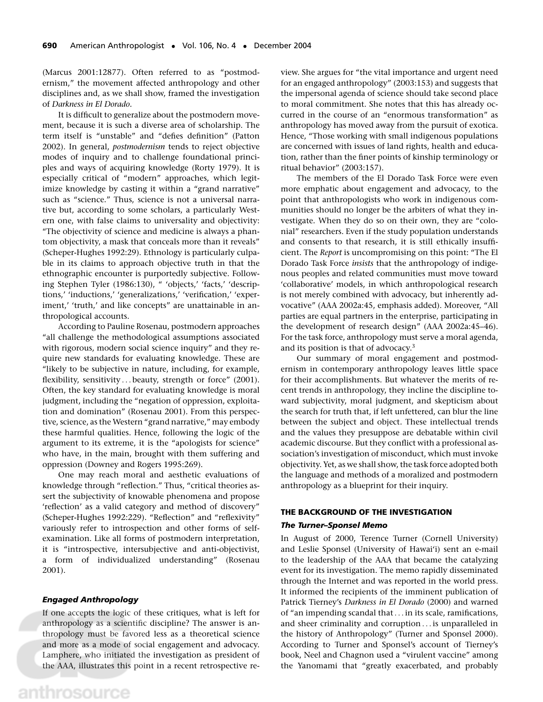(Marcus 2001:12877). Often referred to as "postmodernism," the movement affected anthropology and other disciplines and, as we shall show, framed the investigation of *Darkness in El Dorado.*

It is difficult to generalize about the postmodern movement, because it is such a diverse area of scholarship. The term itself is "unstable" and "defies definition" (Patton 2002). In general, *postmodernism* tends to reject objective modes of inquiry and to challenge foundational principles and ways of acquiring knowledge (Rorty 1979). It is especially critical of "modern" approaches, which legitimize knowledge by casting it within a "grand narrative" such as "science." Thus, science is not a universal narrative but, according to some scholars, a particularly Western one, with false claims to universality and objectivity: "The objectivity of science and medicine is always a phantom objectivity, a mask that conceals more than it reveals" (Scheper-Hughes 1992:29). Ethnology is particularly culpable in its claims to approach objective truth in that the ethnographic encounter is purportedly subjective. Following Stephen Tyler (1986:130), " 'objects,' 'facts,' 'descriptions,' 'inductions,' 'generalizations,' 'verification,' 'experiment,' 'truth,' and like concepts" are unattainable in anthropological accounts.

According to Pauline Rosenau, postmodern approaches "all challenge the methodological assumptions associated with rigorous, modern social science inquiry" and they require new standards for evaluating knowledge. These are "likely to be subjective in nature, including, for example, flexibility, sensitivity ... beauty, strength or force" (2001). Often, the key standard for evaluating knowledge is moral judgment, including the "negation of oppression, exploitation and domination" (Rosenau 2001). From this perspective, science, as the Western "grand narrative," may embody these harmful qualities. Hence, following the logic of the argument to its extreme, it is the "apologists for science" who have, in the main, brought with them suffering and oppression (Downey and Rogers 1995:269).

One may reach moral and aesthetic evaluations of knowledge through "reflection." Thus, "critical theories assert the subjectivity of knowable phenomena and propose 'reflection' as a valid category and method of discovery" (Scheper-Hughes 1992:229). "Reflection" and "reflexivity" variously refer to introspection and other forms of selfexamination. Like all forms of postmodern interpretation, it is "introspective, intersubjective and anti-objectivist, a form of individualized understanding" (Rosenau 2001).

#### *Engaged Anthropology*

If one accepts the logic of these critiques, what is left for anthropology as a scientific discipline? The answer is anthropology must be favored less as a theoretical science and more as a mode of social engagement and advocacy. Lamphere, who initiated the investigation as president of the AAA, illustrates this point in a recent retrospective review. She argues for "the vital importance and urgent need for an engaged anthropology" (2003:153) and suggests that the impersonal agenda of science should take second place to moral commitment. She notes that this has already occurred in the course of an "enormous transformation" as anthropology has moved away from the pursuit of exotica. Hence, "Those working with small indigenous populations are concerned with issues of land rights, health and education, rather than the finer points of kinship terminology or ritual behavior" (2003:157).

The members of the El Dorado Task Force were even more emphatic about engagement and advocacy, to the point that anthropologists who work in indigenous communities should no longer be the arbiters of what they investigate. When they do so on their own, they are "colonial" researchers. Even if the study population understands and consents to that research, it is still ethically insufficient. The *Report* is uncompromising on this point: "The El Dorado Task Force *insists* that the anthropology of indigenous peoples and related communities must move toward 'collaborative' models, in which anthropological research is not merely combined with advocacy, but inherently advocative" (AAA 2002a:45, emphasis added). Moreover, "All parties are equal partners in the enterprise, participating in the development of research design" (AAA 2002a:45–46). For the task force, anthropology must serve a moral agenda, and its position is that of advocacy.3

Our summary of moral engagement and postmodernism in contemporary anthropology leaves little space for their accomplishments. But whatever the merits of recent trends in anthropology, they incline the discipline toward subjectivity, moral judgment, and skepticism about the search for truth that, if left unfettered, can blur the line between the subject and object. These intellectual trends and the values they presuppose are debatable within civil academic discourse. But they conflict with a professional association's investigation of misconduct, which must invoke objectivity. Yet, as we shall show, the task force adopted both the language and methods of a moralized and postmodern anthropology as a blueprint for their inquiry.

# **THE BACKGROUND OF THE INVESTIGATION**

# *The Turner–Sponsel Memo*

In August of 2000, Terence Turner (Cornell University) and Leslie Sponsel (University of Hawai'i) sent an e-mail to the leadership of the AAA that became the catalyzing event for its investigation. The memo rapidly disseminated through the Internet and was reported in the world press. It informed the recipients of the imminent publication of Patrick Tierney's *Darkness in El Dorado* (2000) and warned of "an impending scandal that... in its scale, ramifications, and sheer criminality and corruption ... is unparalleled in the history of Anthropology" (Turner and Sponsel 2000). According to Turner and Sponsel's account of Tierney's book, Neel and Chagnon used a "virulent vaccine" among the Yanomami that "greatly exacerbated, and probably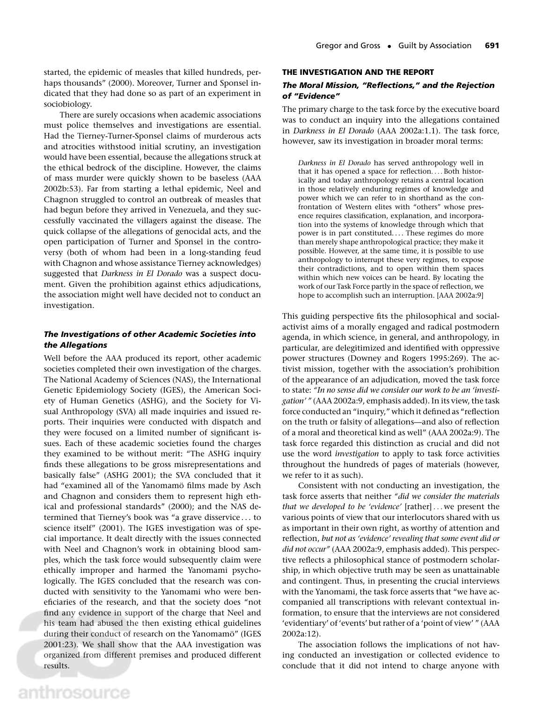started, the epidemic of measles that killed hundreds, perhaps thousands" (2000). Moreover, Turner and Sponsel indicated that they had done so as part of an experiment in sociobiology.

There are surely occasions when academic associations must police themselves and investigations are essential. Had the Tierney-Turner-Sponsel claims of murderous acts and atrocities withstood initial scrutiny, an investigation would have been essential, because the allegations struck at the ethical bedrock of the discipline. However, the claims of mass murder were quickly shown to be baseless (AAA 2002b:53). Far from starting a lethal epidemic, Neel and Chagnon struggled to control an outbreak of measles that had begun before they arrived in Venezuela, and they successfully vaccinated the villagers against the disease. The quick collapse of the allegations of genocidal acts, and the open participation of Turner and Sponsel in the controversy (both of whom had been in a long-standing feud with Chagnon and whose assistance Tierney acknowledges) suggested that *Darkness in El Dorado* was a suspect document. Given the prohibition against ethics adjudications, the association might well have decided not to conduct an investigation.

# *The Investigations of other Academic Societies into the Allegations*

Well before the AAA produced its report, other academic societies completed their own investigation of the charges. The National Academy of Sciences (NAS), the International Genetic Epidemiology Society (IGES), the American Society of Human Genetics (ASHG), and the Society for Visual Anthropology (SVA) all made inquiries and issued reports. Their inquiries were conducted with dispatch and they were focused on a limited number of significant issues. Each of these academic societies found the charges they examined to be without merit: "The ASHG inquiry finds these allegations to be gross misrepresentations and basically false" (ASHG 2001); the SVA concluded that it had "examined all of the Yanomamö films made by Asch and Chagnon and considers them to represent high ethical and professional standards" (2000); and the NAS determined that Tierney's book was "a grave disservice . . . to science itself" (2001). The IGES investigation was of special importance. It dealt directly with the issues connected with Neel and Chagnon's work in obtaining blood samples, which the task force would subsequently claim were ethically improper and harmed the Yanomami psychologically. The IGES concluded that the research was conducted with sensitivity to the Yanomami who were beneficiaries of the research, and that the society does "not find any evidence in support of the charge that Neel and his team had abused the then existing ethical guidelines during their conduct of research on the Yanomamö" (IGES 2001:23). We shall show that the AAA investigation was organized from different premises and produced different results.

#### **THE INVESTIGATION AND THE REPORT**

# *The Moral Mission, "Reflections," and the Rejection of "Evidence"*

The primary charge to the task force by the executive board was to conduct an inquiry into the allegations contained in *Darkness in El Dorado* (AAA 2002a:1.1). The task force, however, saw its investigation in broader moral terms:

*Darkness in El Dorado* has served anthropology well in that it has opened a space for reflection.... Both historically and today anthropology retains a central location in those relatively enduring regimes of knowledge and power which we can refer to in shorthand as the confrontation of Western elites with "others" whose presence requires classification, explanation, and incorporation into the systems of knowledge through which that power is in part constituted.... These regimes do more than merely shape anthropological practice; they make it possible. However, at the same time, it is possible to use anthropology to interrupt these very regimes, to expose their contradictions, and to open within them spaces within which new voices can be heard. By locating the work of our Task Force partly in the space of reflection, we hope to accomplish such an interruption. [AAA 2002a:9]

This guiding perspective fits the philosophical and socialactivist aims of a morally engaged and radical postmodern agenda, in which science, in general, and anthropology, in particular, are delegitimized and identified with oppressive power structures (Downey and Rogers 1995:269). The activist mission, together with the association's prohibition of the appearance of an adjudication, moved the task force to state: *"In no sense did we consider our work to be an 'investigation' "* (AAA 2002a:9, emphasis added). In its view, the task force conducted an "inquiry," which it defined as "reflection on the truth or falsity of allegations—and also of reflection of a moral and theoretical kind as well" (AAA 2002a:9). The task force regarded this distinction as crucial and did not use the word *investigation* to apply to task force activities throughout the hundreds of pages of materials (however, we refer to it as such).

Consistent with not conducting an investigation, the task force asserts that neither *"did we consider the materials that we developed to be 'evidence'* [rather] ... we present the various points of view that our interlocutors shared with us as important in their own right, as worthy of attention and reflection, *but not as 'evidence' revealing that some event did or did not occur"* (AAA 2002a:9, emphasis added). This perspective reflects a philosophical stance of postmodern scholarship, in which objective truth may be seen as unattainable and contingent. Thus, in presenting the crucial interviews with the Yanomami, the task force asserts that "we have accompanied all transcriptions with relevant contextual information, to ensure that the interviews are not considered 'evidentiary' of 'events' but rather of a 'point of view' " (AAA 2002a:12).

The association follows the implications of not having conducted an investigation or collected evidence to conclude that it did not intend to charge anyone with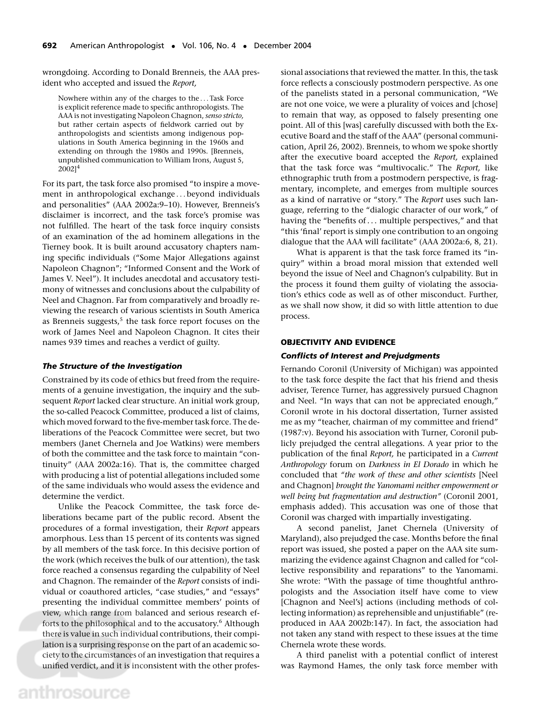wrongdoing. According to Donald Brenneis, the AAA president who accepted and issued the *Report,*

Nowhere within any of the charges to the ... Task Force is explicit reference made to specific anthropologists. The AAA is not investigating Napoleon Chagnon, *senso stricto,* but rather certain aspects of fieldwork carried out by anthropologists and scientists among indigenous populations in South America beginning in the 1960s and extending on through the 1980s and 1990s. [Brenneis, unpublished communication to William Irons, August 5,  $2002]^{4}$ 

For its part, the task force also promised "to inspire a movement in anthropological exchange ... beyond individuals and personalities" (AAA 2002a:9–10). However, Brenneis's disclaimer is incorrect, and the task force's promise was not fulfilled. The heart of the task force inquiry consists of an examination of the ad hominem allegations in the Tierney book. It is built around accusatory chapters naming specific individuals ("Some Major Allegations against Napoleon Chagnon"; "Informed Consent and the Work of James V. Neel"). It includes anecdotal and accusatory testimony of witnesses and conclusions about the culpability of Neel and Chagnon. Far from comparatively and broadly reviewing the research of various scientists in South America as Brenneis suggests,<sup>5</sup> the task force report focuses on the work of James Neel and Napoleon Chagnon. It cites their names 939 times and reaches a verdict of guilty.

#### *The Structure of the Investigation*

Constrained by its code of ethics but freed from the requirements of a genuine investigation, the inquiry and the subsequent *Report* lacked clear structure. An initial work group, the so-called Peacock Committee, produced a list of claims, which moved forward to the five-member task force. The deliberations of the Peacock Committee were secret, but two members (Janet Chernela and Joe Watkins) were members of both the committee and the task force to maintain "continuity" (AAA 2002a:16). That is, the committee charged with producing a list of potential allegations included some of the same individuals who would assess the evidence and determine the verdict.

Unlike the Peacock Committee, the task force deliberations became part of the public record. Absent the procedures of a formal investigation, their *Report* appears amorphous. Less than 15 percent of its contents was signed by all members of the task force. In this decisive portion of the work (which receives the bulk of our attention), the task force reached a consensus regarding the culpability of Neel and Chagnon. The remainder of the *Report* consists of individual or coauthored articles, "case studies," and "essays" presenting the individual committee members' points of view, which range from balanced and serious research efforts to the philosophical and to the accusatory.<sup>6</sup> Although there is value in such individual contributions, their compilation is a surprising response on the part of an academic society to the circumstances of an investigation that requires a unified verdict, and it is inconsistent with the other professional associations that reviewed the matter. In this, the task force reflects a consciously postmodern perspective. As one of the panelists stated in a personal communication, "We are not one voice, we were a plurality of voices and [chose] to remain that way, as opposed to falsely presenting one point. All of this [was] carefully discussed with both the Executive Board and the staff of the AAA" (personal communication, April 26, 2002). Brenneis, to whom we spoke shortly after the executive board accepted the *Report,* explained that the task force was "multivocalic." The *Report,* like ethnographic truth from a postmodern perspective, is fragmentary, incomplete, and emerges from multiple sources as a kind of narrative or "story." The *Report* uses such language, referring to the "dialogic character of our work," of having the "benefits of... multiple perspectives," and that "this 'final' report is simply one contribution to an ongoing dialogue that the AAA will facilitate" (AAA 2002a:6, 8, 21).

What is apparent is that the task force framed its "inquiry" within a broad moral mission that extended well beyond the issue of Neel and Chagnon's culpability. But in the process it found them guilty of violating the association's ethics code as well as of other misconduct. Further, as we shall now show, it did so with little attention to due process.

#### **OBJECTIVITY AND EVIDENCE**

#### *Conflicts of Interest and Prejudgments*

Fernando Coronil (University of Michigan) was appointed to the task force despite the fact that his friend and thesis adviser, Terence Turner, has aggressively pursued Chagnon and Neel. "In ways that can not be appreciated enough," Coronil wrote in his doctoral dissertation, Turner assisted me as my "teacher, chairman of my committee and friend" (1987:v). Beyond his association with Turner, Coronil publicly prejudged the central allegations. A year prior to the publication of the final *Report,* he participated in a *Current Anthropology* forum on *Darkness in El Dorado* in which he concluded that *"the work of these and other scientists* [Neel and Chagnon] *brought the Yanomami neither empowerment or well being but fragmentation and destruction"* (Coronil 2001, emphasis added). This accusation was one of those that Coronil was charged with impartially investigating.

A second panelist, Janet Chernela (University of Maryland), also prejudged the case. Months before the final report was issued, she posted a paper on the AAA site summarizing the evidence against Chagnon and called for "collective responsibility and reparations" to the Yanomami. She wrote: "With the passage of time thoughtful anthropologists and the Association itself have come to view [Chagnon and Neel's] actions (including methods of collecting information) as reprehensible and unjustifiable" (reproduced in AAA 2002b:147). In fact, the association had not taken any stand with respect to these issues at the time Chernela wrote these words.

A third panelist with a potential conflict of interest was Raymond Hames, the only task force member with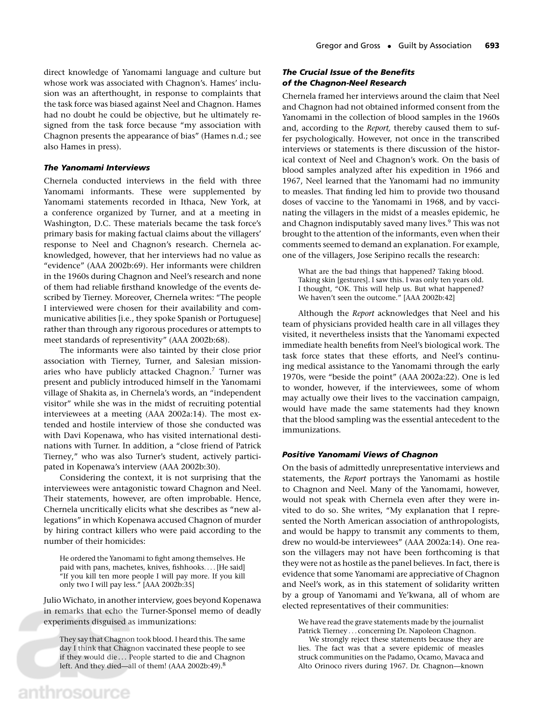direct knowledge of Yanomami language and culture but whose work was associated with Chagnon's. Hames' inclusion was an afterthought, in response to complaints that the task force was biased against Neel and Chagnon. Hames had no doubt he could be objective, but he ultimately resigned from the task force because "my association with Chagnon presents the appearance of bias" (Hames n.d.; see also Hames in press).

#### *The Yanomami Interviews*

Chernela conducted interviews in the field with three Yanomami informants. These were supplemented by Yanomami statements recorded in Ithaca, New York, at a conference organized by Turner, and at a meeting in Washington, D.C. These materials became the task force's primary basis for making factual claims about the villagers' response to Neel and Chagnon's research. Chernela acknowledged, however, that her interviews had no value as "evidence" (AAA 2002b:69). Her informants were children in the 1960s during Chagnon and Neel's research and none of them had reliable firsthand knowledge of the events described by Tierney. Moreover, Chernela writes: "The people I interviewed were chosen for their availability and communicative abilities [i.e., they spoke Spanish or Portuguese] rather than through any rigorous procedures or attempts to meet standards of representivity" (AAA 2002b:68).

The informants were also tainted by their close prior association with Tierney, Turner, and Salesian missionaries who have publicly attacked Chagnon.7 Turner was present and publicly introduced himself in the Yanomami village of Shakita as, in Chernela's words, an "independent visitor" while she was in the midst of recruiting potential interviewees at a meeting (AAA 2002a:14). The most extended and hostile interview of those she conducted was with Davi Kopenawa, who has visited international destinations with Turner. In addition, a "close friend of Patrick Tierney," who was also Turner's student, actively participated in Kopenawa's interview (AAA 2002b:30).

Considering the context, it is not surprising that the interviewees were antagonistic toward Chagnon and Neel. Their statements, however, are often improbable. Hence, Chernela uncritically elicits what she describes as "new allegations" in which Kopenawa accused Chagnon of murder by hiring contract killers who were paid according to the number of their homicides:

He ordered the Yanomami to fight among themselves. He paid with pans, machetes, knives, fishhooks.... [He said] "If you kill ten more people I will pay more. If you kill only two I will pay less." [AAA 2002b:35]

Julio Wichato, in another interview, goes beyond Kopenawa in remarks that echo the Turner-Sponsel memo of deadly experiments disguised as immunizations:

They say that Chagnon took blood. I heard this. The same day I think that Chagnon vaccinated these people to see if they would die ... People started to die and Chagnon left. And they died—all of them! (AAA 2002b:49).<sup>8</sup>

### *The Crucial Issue of the Benefits of the Chagnon-Neel Research*

Chernela framed her interviews around the claim that Neel and Chagnon had not obtained informed consent from the Yanomami in the collection of blood samples in the 1960s and, according to the *Report,* thereby caused them to suffer psychologically. However, not once in the transcribed interviews or statements is there discussion of the historical context of Neel and Chagnon's work. On the basis of blood samples analyzed after his expedition in 1966 and 1967, Neel learned that the Yanomami had no immunity to measles. That finding led him to provide two thousand doses of vaccine to the Yanomami in 1968, and by vaccinating the villagers in the midst of a measles epidemic, he and Chagnon indisputably saved many lives.<sup>9</sup> This was not brought to the attention of the informants, even when their comments seemed to demand an explanation. For example, one of the villagers, Jose Seripino recalls the research:

What are the bad things that happened? Taking blood. Taking skin [gestures]. I saw this. I was only ten years old. I thought, "OK. This will help us. But what happened? We haven't seen the outcome." [AAA 2002b:42]

Although the *Report* acknowledges that Neel and his team of physicians provided health care in all villages they visited, it nevertheless insists that the Yanomami expected immediate health benefits from Neel's biological work. The task force states that these efforts, and Neel's continuing medical assistance to the Yanomami through the early 1970s, were "beside the point" (AAA 2002a:22). One is led to wonder, however, if the interviewees, some of whom may actually owe their lives to the vaccination campaign, would have made the same statements had they known that the blood sampling was the essential antecedent to the immunizations.

#### *Positive Yanomami Views of Chagnon*

On the basis of admittedly unrepresentative interviews and statements, the *Report* portrays the Yanomami as hostile to Chagnon and Neel. Many of the Yanomami, however, would not speak with Chernela even after they were invited to do so. She writes, "My explanation that I represented the North American association of anthropologists, and would be happy to transmit any comments to them, drew no would-be interviewees" (AAA 2002a:14). One reason the villagers may not have been forthcoming is that they were not as hostile as the panel believes. In fact, there is evidence that some Yanomami are appreciative of Chagnon and Neel's work, as in this statement of solidarity written by a group of Yanomami and Ye'kwana, all of whom are elected representatives of their communities:

We have read the grave statements made by the journalist Patrick Tierney ... concerning Dr. Napoleon Chagnon.

We strongly reject these statements because they are lies. The fact was that a severe epidemic of measles struck communities on the Padamo, Ocamo, Mavaca and Alto Orinoco rivers during 1967. Dr. Chagnon—known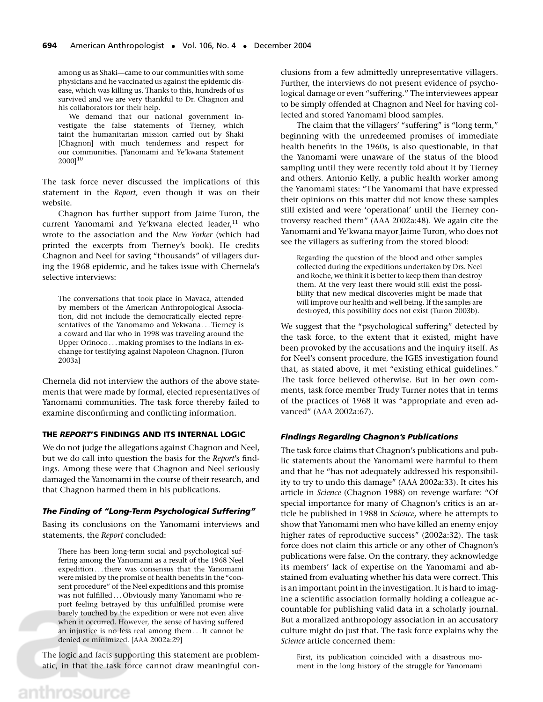among us as Shaki—came to our communities with some physicians and he vaccinated us against the epidemic disease, which was killing us. Thanks to this, hundreds of us survived and we are very thankful to Dr. Chagnon and his collaborators for their help.

We demand that our national government investigate the false statements of Tierney, which taint the humanitarian mission carried out by Shaki [Chagnon] with much tenderness and respect for our communities. [Yanomami and Ye'kwana Statement 2000]10

The task force never discussed the implications of this statement in the *Report,* even though it was on their website.

Chagnon has further support from Jaime Turon, the current Yanomami and Ye'kwana elected leader,<sup>11</sup> who wrote to the association and the *New Yorker* (which had printed the excerpts from Tierney's book). He credits Chagnon and Neel for saving "thousands" of villagers during the 1968 epidemic, and he takes issue with Chernela's selective interviews:

The conversations that took place in Mavaca, attended by members of the American Anthropological Association, did not include the democratically elected representatives of the Yanomamo and Yekwana ... Tierney is a coward and liar who in 1998 was traveling around the Upper Orinoco ... making promises to the Indians in exchange for testifying against Napoleon Chagnon. [Turon 2003a]

Chernela did not interview the authors of the above statements that were made by formal, elected representatives of Yanomami communities. The task force thereby failed to examine disconfirming and conflicting information.

#### **THE** *REPORT***'S FINDINGS AND ITS INTERNAL LOGIC**

We do not judge the allegations against Chagnon and Neel, but we do call into question the basis for the *Report*'s findings. Among these were that Chagnon and Neel seriously damaged the Yanomami in the course of their research, and that Chagnon harmed them in his publications.

#### *The Finding of "Long-Term Psychological Suffering"*

Basing its conclusions on the Yanomami interviews and statements, the *Report* concluded:

There has been long-term social and psychological suffering among the Yanomami as a result of the 1968 Neel expedition ...there was consensus that the Yanomami were misled by the promise of health benefits in the "consent procedure" of the Neel expeditions and this promise was not fulfilled ... Obviously many Yanomami who report feeling betrayed by this unfulfilled promise were barely touched by the expedition or were not even alive when it occurred. However, the sense of having suffered an injustice is no less real among them ...It cannot be denied or minimized. [AAA 2002a:29]

The logic and facts supporting this statement are problematic, in that the task force cannot draw meaningful conclusions from a few admittedly unrepresentative villagers. Further, the interviews do not present evidence of psychological damage or even "suffering." The interviewees appear to be simply offended at Chagnon and Neel for having collected and stored Yanomami blood samples.

The claim that the villagers' "suffering" is "long term," beginning with the unredeemed promises of immediate health benefits in the 1960s, is also questionable, in that the Yanomami were unaware of the status of the blood sampling until they were recently told about it by Tierney and others. Antonio Kelly, a public health worker among the Yanomami states: "The Yanomami that have expressed their opinions on this matter did not know these samples still existed and were 'operational' until the Tierney controversy reached them" (AAA 2002a:48). We again cite the Yanomami and Ye'kwana mayor Jaime Turon, who does not see the villagers as suffering from the stored blood:

Regarding the question of the blood and other samples collected during the expeditions undertaken by Drs. Neel and Roche, we think it is better to keep them than destroy them. At the very least there would still exist the possibility that new medical discoveries might be made that will improve our health and well being. If the samples are destroyed, this possibility does not exist (Turon 2003b).

We suggest that the "psychological suffering" detected by the task force, to the extent that it existed, might have been provoked by the accusations and the inquiry itself. As for Neel's consent procedure, the IGES investigation found that, as stated above, it met "existing ethical guidelines." The task force believed otherwise. But in her own comments, task force member Trudy Turner notes that in terms of the practices of 1968 it was "appropriate and even advanced" (AAA 2002a:67).

#### *Findings Regarding Chagnon's Publications*

The task force claims that Chagnon's publications and public statements about the Yanomami were harmful to them and that he "has not adequately addressed his responsibility to try to undo this damage" (AAA 2002a:33). It cites his article in *Science* (Chagnon 1988) on revenge warfare: "Of special importance for many of Chagnon's critics is an article he published in 1988 in *Science,* where he attempts to show that Yanomami men who have killed an enemy enjoy higher rates of reproductive success" (2002a:32). The task force does not claim this article or any other of Chagnon's publications were false. On the contrary, they acknowledge its members' lack of expertise on the Yanomami and abstained from evaluating whether his data were correct. This is an important point in the investigation. It is hard to imagine a scientific association formally holding a colleague accountable for publishing valid data in a scholarly journal. But a moralized anthropology association in an accusatory culture might do just that. The task force explains why the *Science* article concerned them:

First, its publication coincided with a disastrous moment in the long history of the struggle for Yanomami

# anthrosource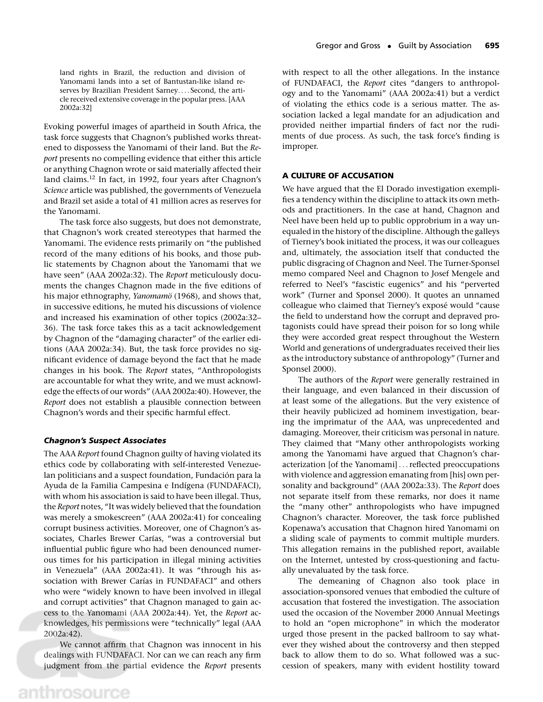land rights in Brazil, the reduction and division of Yanomami lands into a set of Bantustan-like island reserves by Brazilian President Sarney.... Second, the article received extensive coverage in the popular press. [AAA 2002a:32]

Evoking powerful images of apartheid in South Africa, the task force suggests that Chagnon's published works threatened to dispossess the Yanomami of their land. But the *Report* presents no compelling evidence that either this article or anything Chagnon wrote or said materially affected their land claims.12 In fact, in 1992, four years after Chagnon's *Science* article was published, the governments of Venezuela and Brazil set aside a total of 41 million acres as reserves for the Yanomami.

The task force also suggests, but does not demonstrate, that Chagnon's work created stereotypes that harmed the Yanomami. The evidence rests primarily on "the published record of the many editions of his books, and those public statements by Chagnon about the Yanomami that we have seen" (AAA 2002a:32). The *Report* meticulously documents the changes Chagnon made in the five editions of his major ethnography, *Yanomamö* (1968), and shows that, in successive editions, he muted his discussions of violence and increased his examination of other topics (2002a:32– 36). The task force takes this as a tacit acknowledgement by Chagnon of the "damaging character" of the earlier editions (AAA 2002a:34). But, the task force provides no significant evidence of damage beyond the fact that he made changes in his book. The *Report* states, "Anthropologists are accountable for what they write, and we must acknowledge the effects of our words" (AAA 2002a:40). However, the *Report* does not establish a plausible connection between Chagnon's words and their specific harmful effect.

#### *Chagnon's Suspect Associates*

The AAA *Report* found Chagnon guilty of having violated its ethics code by collaborating with self-interested Venezuelan politicians and a suspect foundation, Fundación para la Ayuda de la Familia Campesina e Indígena (FUNDAFACI), with whom his association is said to have been illegal. Thus, the *Report* notes, "It was widely believed that the foundation was merely a smokescreen" (AAA 2002a:41) for concealing corrupt business activities. Moreover, one of Chagnon's associates, Charles Brewer Carías, "was a controversial but influential public figure who had been denounced numerous times for his participation in illegal mining activities in Venezuela" (AAA 2002a:41). It was "through his association with Brewer Carías in FUNDAFACI" and others who were "widely known to have been involved in illegal and corrupt activities" that Chagnon managed to gain access to the Yanomami (AAA 2002a:44). Yet, the *Report* acknowledges, his permissions were "technically" legal (AAA 2002a:42).

We cannot affirm that Chagnon was innocent in his dealings with FUNDAFACI. Nor can we can reach any firm judgment from the partial evidence the *Report* presents with respect to all the other allegations. In the instance of FUNDAFACI, the *Report* cites "dangers to anthropology and to the Yanomami" (AAA 2002a:41) but a verdict of violating the ethics code is a serious matter. The association lacked a legal mandate for an adjudication and provided neither impartial finders of fact nor the rudiments of due process. As such, the task force's finding is improper.

#### **A CULTURE OF ACCUSATION**

We have argued that the El Dorado investigation exemplifies a tendency within the discipline to attack its own methods and practitioners. In the case at hand, Chagnon and Neel have been held up to public opprobrium in a way unequaled in the history of the discipline. Although the galleys of Tierney's book initiated the process, it was our colleagues and, ultimately, the association itself that conducted the public disgracing of Chagnon and Neel. The Turner-Sponsel memo compared Neel and Chagnon to Josef Mengele and referred to Neel's "fascistic eugenics" and his "perverted work" (Turner and Sponsel 2000). It quotes an unnamed colleague who claimed that Tierney's exposé would "cause the field to understand how the corrupt and depraved protagonists could have spread their poison for so long while they were accorded great respect throughout the Western World and generations of undergraduates received their lies as the introductory substance of anthropology" (Turner and Sponsel 2000).

The authors of the *Report* were generally restrained in their language, and even balanced in their discussion of at least some of the allegations. But the very existence of their heavily publicized ad hominem investigation, bearing the imprimatur of the AAA, was unprecedented and damaging. Moreover, their criticism was personal in nature. They claimed that "Many other anthropologists working among the Yanomami have argued that Chagnon's characterization [of the Yanomami]...reflected preoccupations with violence and aggression emanating from [his] own personality and background" (AAA 2002a:33). The *Report* does not separate itself from these remarks, nor does it name the "many other" anthropologists who have impugned Chagnon's character. Moreover, the task force published Kopenawa's accusation that Chagnon hired Yanomami on a sliding scale of payments to commit multiple murders. This allegation remains in the published report, available on the Internet, untested by cross-questioning and factually unevaluated by the task force.

The demeaning of Chagnon also took place in association-sponsored venues that embodied the culture of accusation that fostered the investigation. The association used the occasion of the November 2000 Annual Meetings to hold an "open microphone" in which the moderator urged those present in the packed ballroom to say whatever they wished about the controversy and then stepped back to allow them to do so. What followed was a succession of speakers, many with evident hostility toward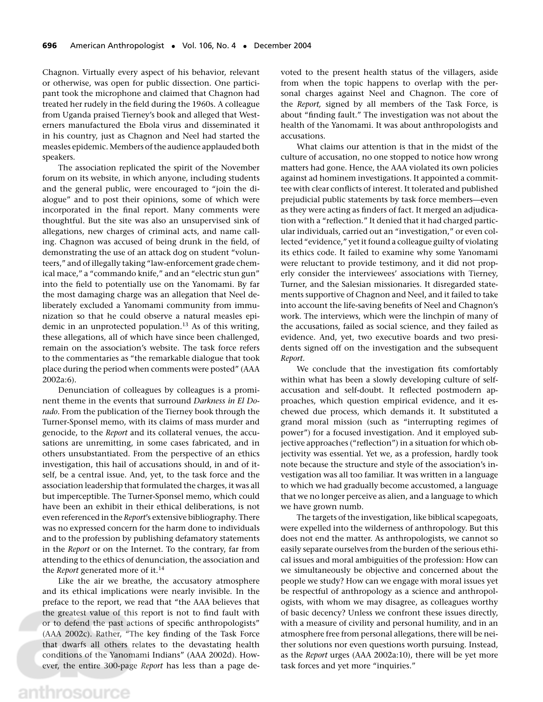Chagnon. Virtually every aspect of his behavior, relevant or otherwise, was open for public dissection. One participant took the microphone and claimed that Chagnon had treated her rudely in the field during the 1960s. A colleague from Uganda praised Tierney's book and alleged that Westerners manufactured the Ebola virus and disseminated it in his country, just as Chagnon and Neel had started the measles epidemic. Members of the audience applauded both speakers.

The association replicated the spirit of the November forum on its website, in which anyone, including students and the general public, were encouraged to "join the dialogue" and to post their opinions, some of which were incorporated in the final report. Many comments were thoughtful. But the site was also an unsupervised sink of allegations, new charges of criminal acts, and name calling. Chagnon was accused of being drunk in the field, of demonstrating the use of an attack dog on student "volunteers," and of illegally taking "law-enforcement grade chemical mace," a "commando knife," and an "electric stun gun" into the field to potentially use on the Yanomami. By far the most damaging charge was an allegation that Neel deliberately excluded a Yanomami community from immunization so that he could observe a natural measles epidemic in an unprotected population.<sup>13</sup> As of this writing, these allegations, all of which have since been challenged, remain on the association's website. The task force refers to the commentaries as "the remarkable dialogue that took place during the period when comments were posted" (AAA 2002a:6).

Denunciation of colleagues by colleagues is a prominent theme in the events that surround *Darkness in El Dorado.* From the publication of the Tierney book through the Turner-Sponsel memo, with its claims of mass murder and genocide, to the *Report* and its collateral venues, the accusations are unremitting, in some cases fabricated, and in others unsubstantiated. From the perspective of an ethics investigation, this hail of accusations should, in and of itself, be a central issue. And, yet, to the task force and the association leadership that formulated the charges, it was all but imperceptible. The Turner-Sponsel memo, which could have been an exhibit in their ethical deliberations, is not even referenced in the *Report*'s extensive bibliography. There was no expressed concern for the harm done to individuals and to the profession by publishing defamatory statements in the *Report* or on the Internet. To the contrary, far from attending to the ethics of denunciation, the association and the *Report* generated more of it.<sup>14</sup>

Like the air we breathe, the accusatory atmosphere and its ethical implications were nearly invisible. In the preface to the report, we read that "the AAA believes that the greatest value of this report is not to find fault with or to defend the past actions of specific anthropologists" (AAA 2002c). Rather, "The key finding of the Task Force that dwarfs all others relates to the devastating health conditions of the Yanomami Indians" (AAA 2002d). However, the entire 300-page *Report* has less than a page devoted to the present health status of the villagers, aside from when the topic happens to overlap with the personal charges against Neel and Chagnon. The core of the *Report,* signed by all members of the Task Force, is about "finding fault." The investigation was not about the health of the Yanomami. It was about anthropologists and accusations.

What claims our attention is that in the midst of the culture of accusation, no one stopped to notice how wrong matters had gone. Hence, the AAA violated its own policies against ad hominem investigations. It appointed a committee with clear conflicts of interest. It tolerated and published prejudicial public statements by task force members—even as they were acting as finders of fact. It merged an adjudication with a "reflection." It denied that it had charged particular individuals, carried out an "investigation," or even collected "evidence," yet it found a colleague guilty of violating its ethics code. It failed to examine why some Yanomami were reluctant to provide testimony, and it did not properly consider the interviewees' associations with Tierney, Turner, and the Salesian missionaries. It disregarded statements supportive of Chagnon and Neel, and it failed to take into account the life-saving benefits of Neel and Chagnon's work. The interviews, which were the linchpin of many of the accusations, failed as social science, and they failed as evidence. And, yet, two executive boards and two presidents signed off on the investigation and the subsequent *Report.*

We conclude that the investigation fits comfortably within what has been a slowly developing culture of selfaccusation and self-doubt. It reflected postmodern approaches, which question empirical evidence, and it eschewed due process, which demands it. It substituted a grand moral mission (such as "interrupting regimes of power") for a focused investigation. And it employed subjective approaches ("reflection") in a situation for which objectivity was essential. Yet we, as a profession, hardly took note because the structure and style of the association's investigation was all too familiar. It was written in a language to which we had gradually become accustomed, a language that we no longer perceive as alien, and a language to which we have grown numb.

The targets of the investigation, like biblical scapegoats, were expelled into the wilderness of anthropology. But this does not end the matter. As anthropologists, we cannot so easily separate ourselves from the burden of the serious ethical issues and moral ambiguities of the profession: How can we simultaneously be objective and concerned about the people we study? How can we engage with moral issues yet be respectful of anthropology as a science and anthropologists, with whom we may disagree, as colleagues worthy of basic decency? Unless we confront these issues directly, with a measure of civility and personal humility, and in an atmosphere free from personal allegations, there will be neither solutions nor even questions worth pursuing. Instead, as the *Report* urges (AAA 2002a:10), there will be yet more task forces and yet more "inquiries."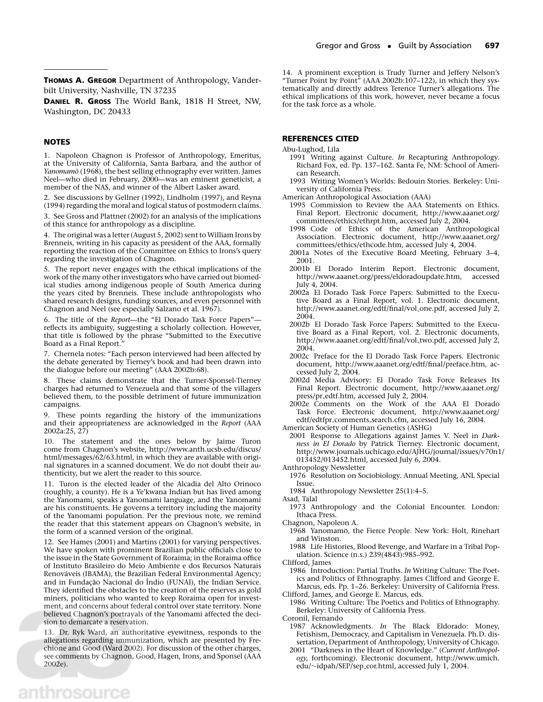**THOMAS A. GREGOR** Department of Anthropology, Vanderbilt University, Nashville, TN 37235

**DANIEL R. GROSS** The World Bank, 1818 H Street, NW, Washington, DC 20433

#### **NOTES**

1. Napoleon Chagnon is Professor of Anthropology, Emeritus, at the University of California, Santa Barbara, and the author of *Yanomamö* (1968), the best selling ethnography ever written. James Neel—who died in February, 2000—was an eminent geneticist, a member of the NAS, and winner of the Albert Lasker award.

2. See discussions by Gellner (1992), Lindholm (1997), and Reyna (1994) regarding the moral and logical status of postmodern claims.

3. See Gross and Plattner (2002) for an analysis of the implications of this stance for anthropology as a discipline.

4. The original was a letter (August 5, 2002) sent to William Irons by Brenneis, writing in his capacity as president of the AAA, formally reporting the reaction of the Committee on Ethics to Irons's query regarding the investigation of Chagnon.

5. The report never engages with the ethical implications of the work of the many other investigators who have carried out biomedical studies among indigenous people of South America during the years cited by Brenneis. These include anthropologists who shared research designs, funding sources, and even personnel with Chagnon and Neel (see especially Salzano et al. 1967).

6. The title of the *Report*—the "El Dorado Task Force Papers" reflects its ambiguity, suggesting a scholarly collection. However, that title is followed by the phrase "Submitted to the Executive Board as a Final Report."

7. Chernela notes: "Each person interviewed had been affected by the debate generated by Tierney's book and had been drawn into the dialogue before our meeting" (AAA 2002b:68).

8. These claims demonstrate that the Turner-Sponsel-Tierney charges had returned to Venezuela and that some of the villagers believed them, to the possible detriment of future immunization campaigns.

9. These points regarding the history of the immunizations and their appropriateness are acknowledged in the *Report* (AAA 2002a:25, 27)

10. The statement and the ones below by Jaime Turon come from Chagnon's website, http://www.anth.ucsb.edu/discus/ html/messages/62/63.html, in which they are available with original signatures in a scanned document. We do not doubt their authenticity, but we alert the reader to this source.

11. Turon is the elected leader of the Alcadia del Alto Orinoco (roughly, a county). He is a Ye'kwana Indian but has lived among the Yanomami, speaks a Yanomami language, and the Yanomami are his constituents. He governs a territory including the majority of the Yanomami population. Per the previous note, we remind the reader that this statement appears on Chagnon's website, in the form of a scanned version of the original.

12. See Hames (2001) and Martins (2001) for varying perspectives. We have spoken with prominent Brazilian public officials close to the issue in the State Government of Roraima; in the Roraima office of Instituto Brasileiro do Meio Ambiente e dos Recursos Naturais Renováveis (IBAMA), the Brazilian Federal Environmental Agency; and in Fundação Nacional do Índio (FUNAI), the Indian Service. They identified the obstacles to the creation of the reserves as gold miners, politicians who wanted to keep Roraima open for investment, and concerns about federal control over state territory. None believed Chagnon's portrayals of the Yanomami affected the decision to demarcate a reservation.

13. Dr. Ryk Ward, an authoritative eyewitness, responds to the allegations regarding immunization, which are presented by Frechione and Good (Ward 2002). For discussion of the other charges, see comments by Chagnon, Good, Hagen, Irons, and Sponsel (AAA 2002e).

14. A prominent exception is Trudy Turner and Jeffery Nelson's "Turner Point by Point" (AAA 2002b:107–122), in which they systematically and directly address Terence Turner's allegations. The ethical implications of this work, however, never became a focus for the task force as a whole.

#### **REFERENCES CITED**

Abu-Lughod, Lila

- 1991 Writing against Culture. *In* Recapturing Anthropology. Richard Fox, ed. Pp. 137–162. Santa Fe, NM: School of American Research.
- 1993 Writing Women's Worlds: Bedouin Stories. Berkeley: University of California Press.

American Anthropological Association (AAA)

- 1995 Commission to Review the AAA Statements on Ethics. Final Report. Electronic document, http://www.aaanet.org/ committees/ethics/ethrpt.htm, accessed July 2, 2004.
- 1998 Code of Ethics of the American Anthropological Association. Electronic document, http://www.aaanet.org/ committees/ethics/ethcode.htm, accessed July 4, 2004.
- 2001a Notes of the Executive Board Meeting, February 3–4, 2001.
- 2001b El Dorado Interim Report. Electronic document, http://www.aaanet.org/press/eldoradoupdate.htm, accessed July 4, 2004.
- 2002a El Dorado Task Force Papers: Submitted to the Executive Board as a Final Report, vol. 1. Electronic document, http://www.aaanet.org/edtf/final/vol one.pdf, accessed July 2, 2004.
- 2002b El Dorado Task Force Papers: Submitted to the Executive Board as a Final Report, vol. 2. Electronic documents, http://www.aaanet.org/edtf/final/vol two.pdf, accessed July 2, 2004.
- 2002c Preface for the El Dorado Task Force Papers. Electronic document, http://www.aaanet.org/edtf/final/preface.htm, accessed July 2, 2004.
- 2002d Media Advisory: El Dorado Task Force Releases Its Final Report. Electronic document, http://www.aaanet.org/ press/pr edtf.htm, accessed July 2, 2004.
- 2002e Comments on the Work of the AAA El Dorado Task Force. Electronic document, http://www.aaanet.org/ edtf/edtfpr comments search.cfm, accessed July 16, 2004.

American Society of Human Genetics (ASHG)

2001 Response to Allegations against James V. Neel in *Darkness in El Dorado* by Patrick Tierney. Electronic document, http://www.journals.uchicago.edu/AJHG/journal/issues/v70n1/ 013452/013452.html, accessed July 6, 2004.

Anthropology Newsletter

- 1976 Resolution on Sociobiology. Annual Meeting, ANL Special Issue.
- 1984 Anthropology Newsletter 25(1):4–5.

Asad, Talal

- 1973 Anthropology and the Colonial Encounter. London: Ithaca Press.
- Chagnon, Napoleon A. 1968 Yanomamö, the Fierce People. New York: Holt, Rinehart and Winston.

1988 Life Histories, Blood Revenge, and Warfare in a Tribal Population. Science (n.s.) 239(4843):985–992.

Clifford, James

1986 Introduction: Partial Truths. *In* Writing Culture: The Poetics and Politics of Ethnography. James Clifford and George E. Marcus, eds. Pp. 1–26. Berkeley: University of California Press. Clifford, James, and George E. Marcus, eds.

1986 Writing Culture: The Poetics and Politics of Ethnography. Berkeley: University of California Press.

Coronil, Fernando

1987 Acknowledgments. *In* The Black Eldorado: Money, Fetishism, Democracy, and Capitalism in Venezuela. Ph.D. dissertation, Department of Anthropology, University of Chicago.

2001 "Darkness in the Heart of Knowledge." (*Current Anthropology,* forthcoming). Electronic document, http://www.umich. edu/∼idpah/SEP/sep cor.html, accessed July 1, 2004.